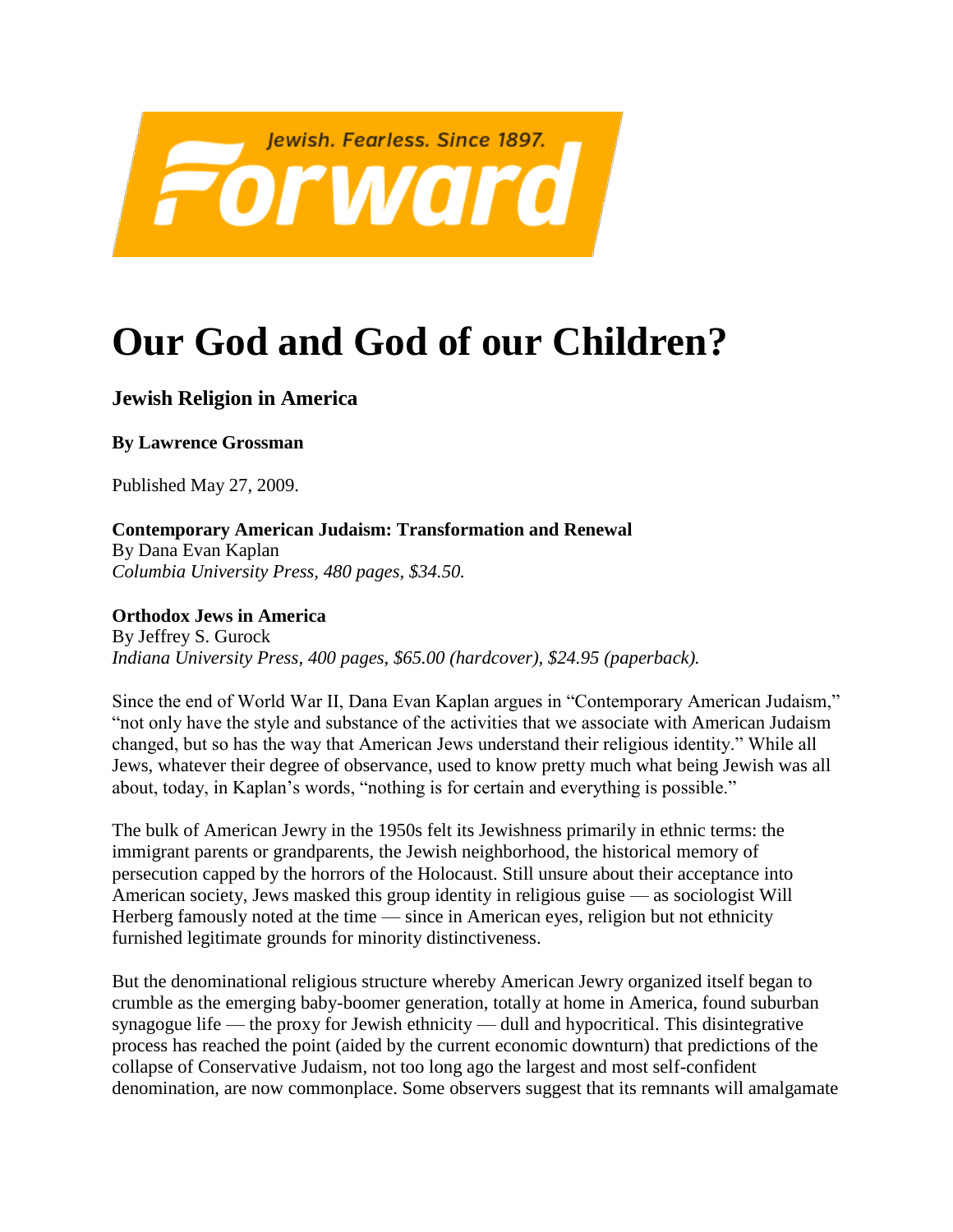

## **Our God and God of our Children?**

## **Jewish Religion in America**

**By Lawrence Grossman**

Published May 27, 2009.

**Contemporary American Judaism: Transformation and Renewal**

By Dana Evan Kaplan *Columbia University Press, 480 pages, \$34.50.*

**Orthodox Jews in America** By Jeffrey S. Gurock *Indiana University Press, 400 pages, \$65.00 (hardcover), \$24.95 (paperback).*

Since the end of World War II, Dana Evan Kaplan argues in "Contemporary American Judaism," "not only have the style and substance of the activities that we associate with American Judaism changed, but so has the way that American Jews understand their religious identity." While all Jews, whatever their degree of observance, used to know pretty much what being Jewish was all about, today, in Kaplan's words, "nothing is for certain and everything is possible."

The bulk of American Jewry in the 1950s felt its Jewishness primarily in ethnic terms: the immigrant parents or grandparents, the Jewish neighborhood, the historical memory of persecution capped by the horrors of the Holocaust. Still unsure about their acceptance into American society, Jews masked this group identity in religious guise — as sociologist Will Herberg famously noted at the time — since in American eyes, religion but not ethnicity furnished legitimate grounds for minority distinctiveness.

But the denominational religious structure whereby American Jewry organized itself began to crumble as the emerging baby-boomer generation, totally at home in America, found suburban synagogue life — the proxy for Jewish ethnicity — dull and hypocritical. This disintegrative process has reached the point (aided by the current economic downturn) that predictions of the collapse of Conservative Judaism, not too long ago the largest and most self-confident denomination, are now commonplace. Some observers suggest that its remnants will amalgamate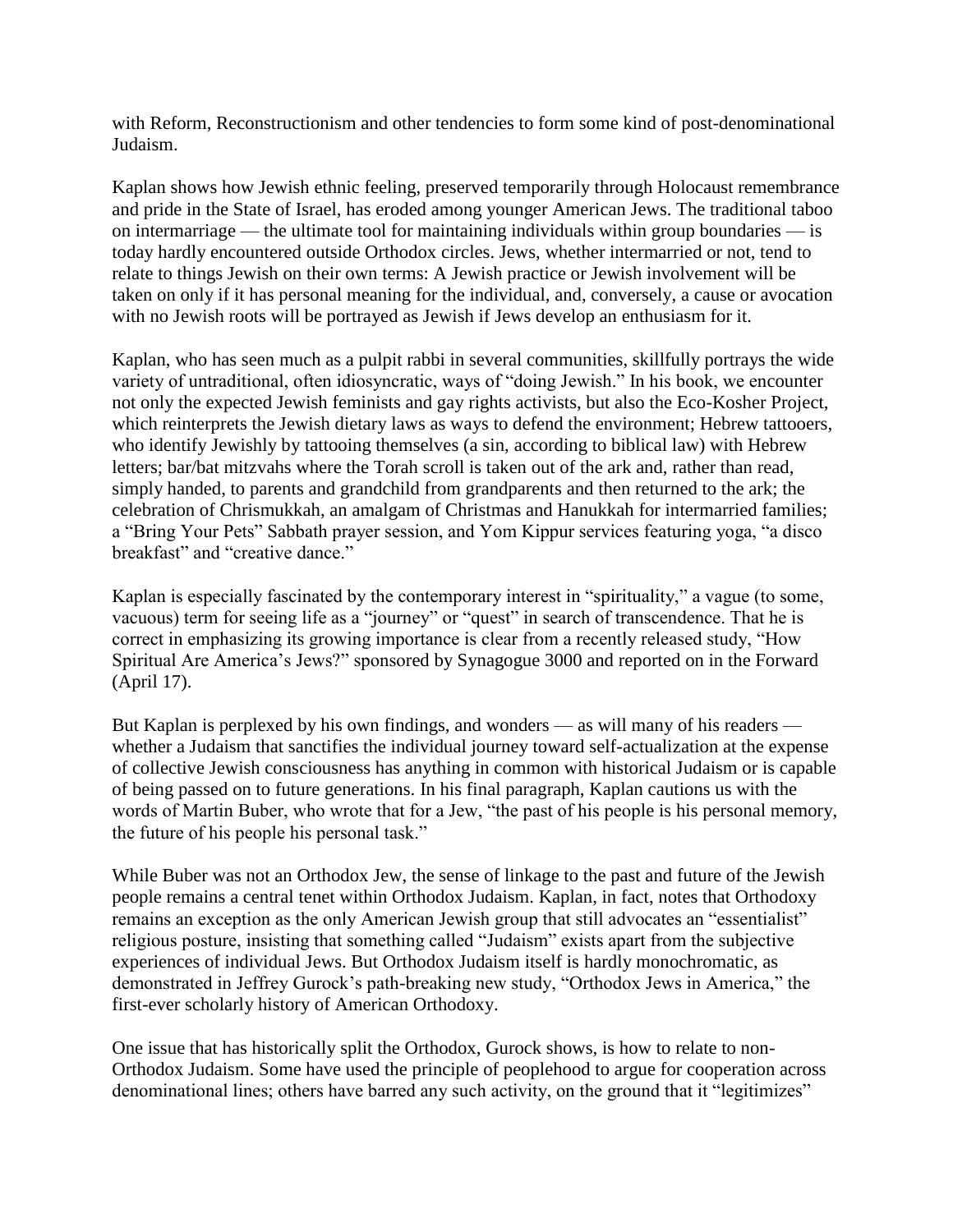with Reform, Reconstructionism and other tendencies to form some kind of post-denominational Judaism.

Kaplan shows how Jewish ethnic feeling, preserved temporarily through Holocaust remembrance and pride in the State of Israel, has eroded among younger American Jews. The traditional taboo on intermarriage — the ultimate tool for maintaining individuals within group boundaries — is today hardly encountered outside Orthodox circles. Jews, whether intermarried or not, tend to relate to things Jewish on their own terms: A Jewish practice or Jewish involvement will be taken on only if it has personal meaning for the individual, and, conversely, a cause or avocation with no Jewish roots will be portrayed as Jewish if Jews develop an enthusiasm for it.

Kaplan, who has seen much as a pulpit rabbi in several communities, skillfully portrays the wide variety of untraditional, often idiosyncratic, ways of "doing Jewish." In his book, we encounter not only the expected Jewish feminists and gay rights activists, but also the Eco-Kosher Project, which reinterprets the Jewish dietary laws as ways to defend the environment; Hebrew tattooers, who identify Jewishly by tattooing themselves (a sin, according to biblical law) with Hebrew letters; bar/bat mitzvahs where the Torah scroll is taken out of the ark and, rather than read, simply handed, to parents and grandchild from grandparents and then returned to the ark; the celebration of Chrismukkah, an amalgam of Christmas and Hanukkah for intermarried families; a "Bring Your Pets" Sabbath prayer session, and Yom Kippur services featuring yoga, "a disco breakfast" and "creative dance."

Kaplan is especially fascinated by the contemporary interest in "spirituality," a vague (to some, vacuous) term for seeing life as a "journey" or "quest" in search of transcendence. That he is correct in emphasizing its growing importance is clear from a recently released study, "How Spiritual Are America's Jews?" sponsored by Synagogue 3000 and reported on in the Forward (April 17).

But Kaplan is perplexed by his own findings, and wonders — as will many of his readers whether a Judaism that sanctifies the individual journey toward self-actualization at the expense of collective Jewish consciousness has anything in common with historical Judaism or is capable of being passed on to future generations. In his final paragraph, Kaplan cautions us with the words of Martin Buber, who wrote that for a Jew, "the past of his people is his personal memory, the future of his people his personal task."

While Buber was not an Orthodox Jew, the sense of linkage to the past and future of the Jewish people remains a central tenet within Orthodox Judaism. Kaplan, in fact, notes that Orthodoxy remains an exception as the only American Jewish group that still advocates an "essentialist" religious posture, insisting that something called "Judaism" exists apart from the subjective experiences of individual Jews. But Orthodox Judaism itself is hardly monochromatic, as demonstrated in Jeffrey Gurock's path-breaking new study, "Orthodox Jews in America," the first-ever scholarly history of American Orthodoxy.

One issue that has historically split the Orthodox, Gurock shows, is how to relate to non-Orthodox Judaism. Some have used the principle of peoplehood to argue for cooperation across denominational lines; others have barred any such activity, on the ground that it "legitimizes"